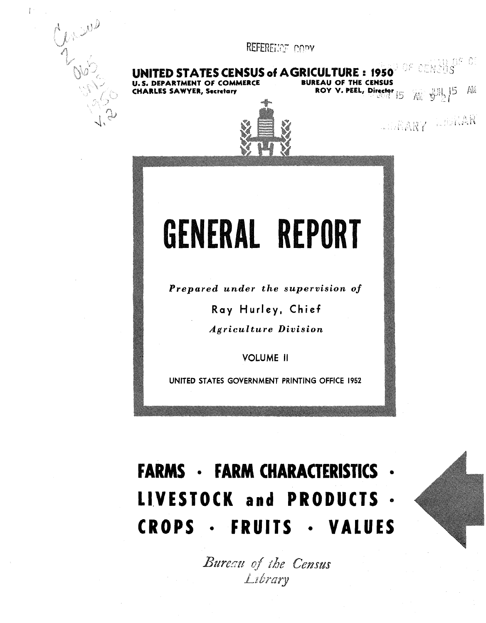

 $\| \cdot$ 

REFERENCE COPY

**TES CENSUS of AGRICULTURE: 1950** OF CENSUS MENT OF COMMERCE **BUREAU OF THE CENSUS** 

**ES SAWYER, Secretary** 

ROY V. PEEL, Director  $\begin{bmatrix} 5 \\ 4 \end{bmatrix}$   $\begin{bmatrix} 5 \\ 4 \end{bmatrix}$   $\begin{bmatrix} 5 \\ 4 \end{bmatrix}$ 

AIDRARY WILLIAR



GENERAL REPORT

Prepared under the supervision of

Ray Hurley, Chief

*Agriculture Division* 

**VOLUME II** 

UNITED STATES GOVERNMENT PRINTING OFFICE 1952

# **FARMS · FARM CHARACTERISTICS ·** LIVESTOCK and PRODUCTS . **CROPS · FRUITS · VALUES**

Bureau of the Census Library

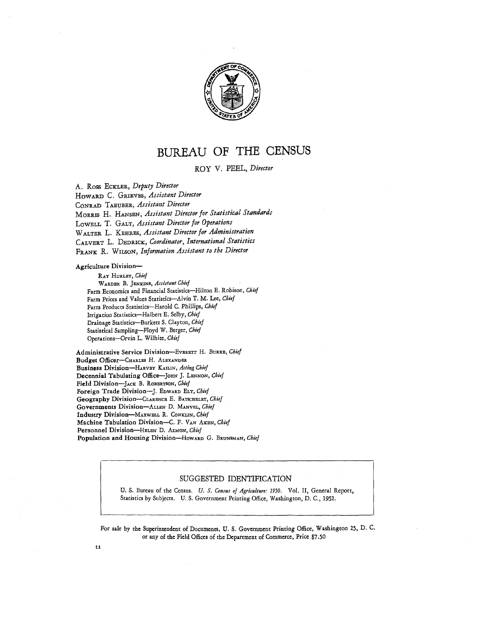

## **BUREAU OF THE CENSUS**

ROY V. PEEL, *Director* 

A. Ross EcKLER, *Deputy Director* 

HOWARD C. GRIEVES, *Assistant Director* 

CONRAD TAEUBER, *Assistant Director* 

MoRRIS H. HANSEN, *Assistant Director for Statistical Standards* 

LowELL T. GALT, *Assistant Director for Operations* 

WALTER L. KEHRES, *Assistant Director for Administration* 

CALVERT L. DEDRICK, *Coordinator, International Statistics* 

FRANK R. WILSON, *Information Assistant to the Director* 

#### Agriculture Division-

RAY HURLEY, *Chief*  WARDER B. JENKINS, *Assistant Chief*  Farm Economics and Financial Statistics-Hilton E. Robison, *Chief*  Farm Prices and Values Statistics-Alvin T. M. Lee, *Chief*  Farm Products Statistics-Harold C. Phillips, *Chief*  Irrigation Statistics-Halbert E. Selby, *Chief*  Drainage Statistics-Burkett S. Clayton, *Chief*  Statistical Sampling-Floyd W. Berger, *Chief*  Operations-Orvin L. Wilhite, *Chief* 

Administrative Service Division-EVERETT H. BURKE, Chief Budget Officer-CHARLES H. ALEXANDER Business Division-HARVEY KA1L1N, *Acting Chief*  Decennial Tabulating Office-JOHN J. LENNON, Chief Field Division-JACK B. RoBERTSON, *Chief*  Foreign Trade Division-]. EDWARD ELY, *Chief*  Geography Division-CLARENCE E. BATSCHELET, *Chief*  Governments Division-ALLEN D. MANVEL, *Chief*  Industry Division-MAXWELL R. CoNKLIN, *Chief*  Machine Tabulation Division-C. F. VAN AKEN, *Chief*  Personnel Division-HELEN D. ALMON, *Chief*  Population and Housing Division-HowARD G. BRUNSMAN, Chief

#### SUGGESTED IDENTIFICATION

U. S. Bureau of the Census. *U. S. Census of Agriculture: 1950.* Vol. II, General Report, Statistics by Subjects. U. S. Government Printing Office, Washington, D. C., 1952.

For sale by the Superintendent of Documents, U. S. Government Printing Office, Washington 25, D. C. or any of the Field Offices of the Department of Commerce, Price \$7 *,50*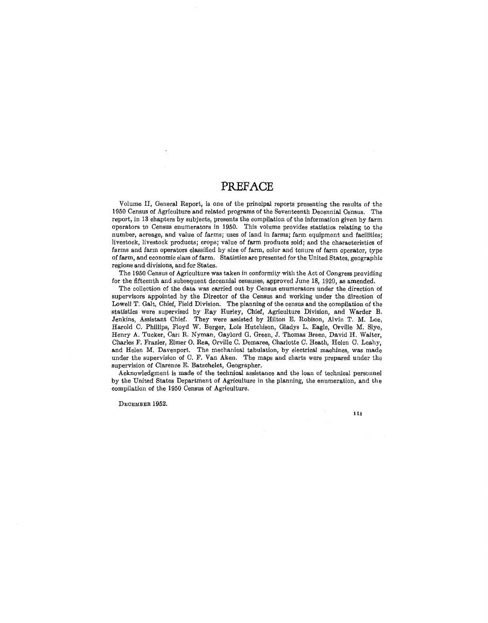#### **PREFACE**

Volume II, General Report, is one of the principal reports presenting the results of the 1950 Census of Agriculture and related programs of the Seventeenth Decennial Census. The report, in 13 chapters by subjects, presents the compilation of the information given by farm operators to Census enumerators in 1950. This volume provides statistics relating to the number, arreage, and value of farms; uses of land in farms; farm equipment and facilities; livestock, livestock products; crops; value of farm products sold; and the characteristics of farms and farm operators classified by size of farm, color and tenure of farm operator, type of farm, and economic class of farm. Statistics are presented for the United States, geographic regions and divisions, and for States.

The 1950 Census of Agriculture was taken in conformity with the Act of Congress providing for the fifteenth and subsequent decennial censuses, approved June 18, 1920, as amended.

The collection of the data was carried out by Census enumerators under the direction of supervisors appointed by the Director of the Census and working under the direction of Lowell T. Galt, Chief, Field Division. The planning of the census and the compilation of the statistics were supervised by Ray Hurley, Chief, Agriculture Division, and Warder B. Jenkins, Assistant Chief. They were assisted by Hilton E. Robison, Alvin T. M. Lee, Harold C. Phillips, Floyd W. Berger, Lois Hutchison, Gladys L. Eagle, Orville M. Slye, Henry A. Tucker, Carl R. Nyman, Gaylord G. Green, J. Thomas Breen, David H. Walter, Charles F. Frazier, Elmer 0. Rea, Orville C. Demaree, Charlotte C. Heath, Helen C. Leahy, and Helen M. Davenport. The mechanical tabulation, by electrical machines, was made under the supervision of C. F. Van Aken. The maps and charts were prepared under the supervision of Clarence E. Batsohelet, Geographer.

Acknowledgment is made of the technical assistance and the loan of technical personnel by the United States Department of Agriculture in the planning, the enumeration, and the compilation of the 1950 Census of Agriculture.

DECEMBER 1952.

111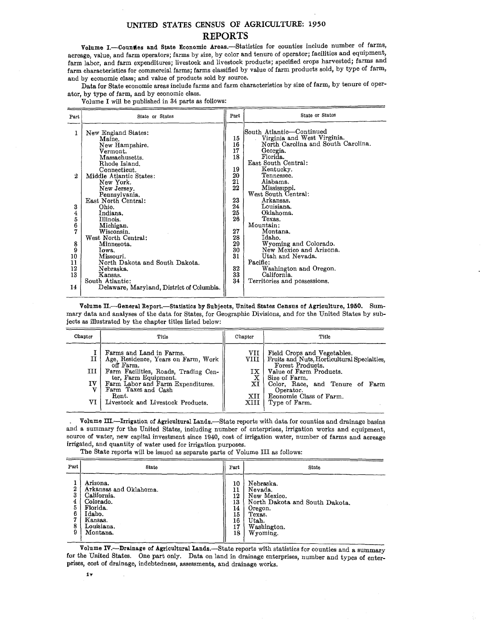#### UNITED STATES CENSUS OF AGRICULTURE: 1950 **REPORTS**

Volume I.-Coundes and State Economic Areas.-Statistics for counties include number of farms, acreage, value, and farm operators; farms by size, by color and tenure of operator; facilities and equipment, farm labor, and farm expenditures; livestock and livestock products; specified crops harvested; farms and farm characteristics for commercial farms; farms classified by value of farm products sold, by type of farm, and by economic class; and value of products sold by source.

Data for State economic areas include farms and farm characteristics by size of farm, by tenure of operator, by type of farm, and by economic class.

Volume I will be published in 34 parts as follows:

| Part   | State or States                                                                                                                                                       | Part                                         | <b>State or States</b>                                                                                                                                                                              |
|--------|-----------------------------------------------------------------------------------------------------------------------------------------------------------------------|----------------------------------------------|-----------------------------------------------------------------------------------------------------------------------------------------------------------------------------------------------------|
| 1<br>2 | New England States:<br>Maine.<br>New Hampshire.<br>Vermont.<br>Massachusetts.<br>Rhode Island.<br>Connecticut.<br>Middle Atlantic States:<br>New York.<br>New Jersey. | 15<br>16<br>17<br>18<br>19<br>20<br>21<br>22 | South Atlantic—Continued<br>Virginia and West Virginia.<br>North Carolina and South Carolina.<br>Georgia.<br>Florida.<br>East South Central:<br>Kentucky.<br>Tennessee.<br>Alabama.<br>Mississippi. |
|        | Pennsylvania.<br>East North Central:                                                                                                                                  | 23                                           | West South Central:<br>Arkansas.                                                                                                                                                                    |
| 3      | Ohio.                                                                                                                                                                 | 24                                           | Louisiana.                                                                                                                                                                                          |
| 4      | Indiana.                                                                                                                                                              | 25                                           | Oklahoma.                                                                                                                                                                                           |
| 5      | Illinois.                                                                                                                                                             | 26                                           | Texas.<br>Mountain:                                                                                                                                                                                 |
| 6<br>7 | Michigan.<br>Wisconsin.                                                                                                                                               | 27                                           | Montana.                                                                                                                                                                                            |
|        | West North Central:                                                                                                                                                   | 28                                           | Idaho.                                                                                                                                                                                              |
| 8      | Minnesota.                                                                                                                                                            | 29                                           | Wyoming and Colorado.                                                                                                                                                                               |
| 9      | Iowa.                                                                                                                                                                 | 30                                           | New Mexico and Arizona.                                                                                                                                                                             |
| 10     | Missouri.                                                                                                                                                             | 31                                           | Utah and Nevada.                                                                                                                                                                                    |
| 11     | North Dakota and South Dakota.                                                                                                                                        |                                              | Pacific:                                                                                                                                                                                            |
| 12     | Nebraska.                                                                                                                                                             | 32                                           | Washington and Oregon.                                                                                                                                                                              |
| 13     | Kansas.                                                                                                                                                               | 33                                           | California.                                                                                                                                                                                         |
|        | South Atlantic:                                                                                                                                                       | 34                                           | Territories and possessions.                                                                                                                                                                        |
| 14     | Delaware, Maryland, District of Columbia.                                                                                                                             |                                              |                                                                                                                                                                                                     |

Volume II.--General Report.-Statistics by Subjects, United States Census of Agriculture, 1950. Summary data and analyses of the data for States, for Geographic Divisions, and for the United States by subjects as illustrated by the chapter titles listed below:

| Chapter                 | Title                                                                                                                                                                                                                                                  | Chapter                                       | Title                                                                                                                                                                                                                                  |
|-------------------------|--------------------------------------------------------------------------------------------------------------------------------------------------------------------------------------------------------------------------------------------------------|-----------------------------------------------|----------------------------------------------------------------------------------------------------------------------------------------------------------------------------------------------------------------------------------------|
| 11<br>III I<br>IV<br>VI | Farms and Land in Farms.<br>Age, Residence, Years on Farm, Work<br>off Farm.<br>Farm Facilities, Roads, Trading Cen-<br>ter, Farm Equipment.<br>Farm Labor and Farm Expenditures.<br>Farm Taxes and Cash<br>Rent.<br>Livestock and Livestock Products. | VII<br>VIII '<br>IX<br>x<br>XI<br>XII<br>XIII | Field Crops and Vegetables.<br>Fruits and Nuts, Horticultural Specialties,<br>Forest Products.<br>Value of Farm Products.<br>Size of Farm.<br>Color, Race, and Tenure of Farm<br>Operator.<br>Economic Class of Farm.<br>Type of Farm. |
|                         |                                                                                                                                                                                                                                                        |                                               |                                                                                                                                                                                                                                        |

Volume III.-Irrigation of Agricultural Lands.-State reports with data for counties and drainage basins and a summary for the United States, including number of enterprises, irrigation works and equipment, source of water, new capital investment since 1940, cost of irrigation water, number of farms and acreage irrigated, and quantity of water used for irrigation purposes.

The State reports will be issued as separate parts of Volume III as follows:

| Part                                  | State                                                                                                                     | Part                                               | State                                                                                                                          |
|---------------------------------------|---------------------------------------------------------------------------------------------------------------------------|----------------------------------------------------|--------------------------------------------------------------------------------------------------------------------------------|
| 2<br>3<br>4<br>5<br>6<br>۰,<br>8<br>9 | Arizona.<br>Arkansas and Oklahoma.<br>California.<br>Colorado.<br>Florida.<br>Idaho.<br>Kansas.<br>Louisiana.<br>Montana. | 10<br>11<br>12<br>13<br>14<br>15<br>16<br>17<br>18 | Nebraska.<br>Nevada.<br>New Mexico.<br>North Dakota and South Dakota.<br>Oregon.<br>Texas.<br>Utah.<br>Washington.<br>Wyoming. |

Volume IV.-Drainage of Agricultural Lands.-State reports with statistics for counties and a summary for the Umted States. One part only. Data on land in drainage enterprises, number and tvpes of enterprises, cost of drainage, indebtedness, assessments, aud drainage works. •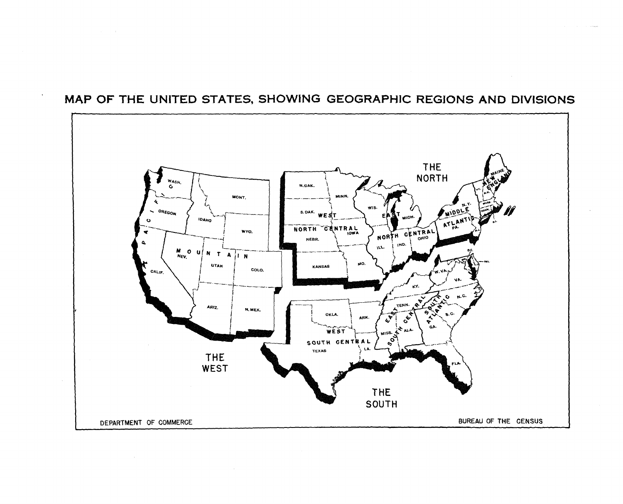

### MAP OF THE UNITED STATES, SHOWING GEOGRAPHIC REGIONS AND DIVISIONS